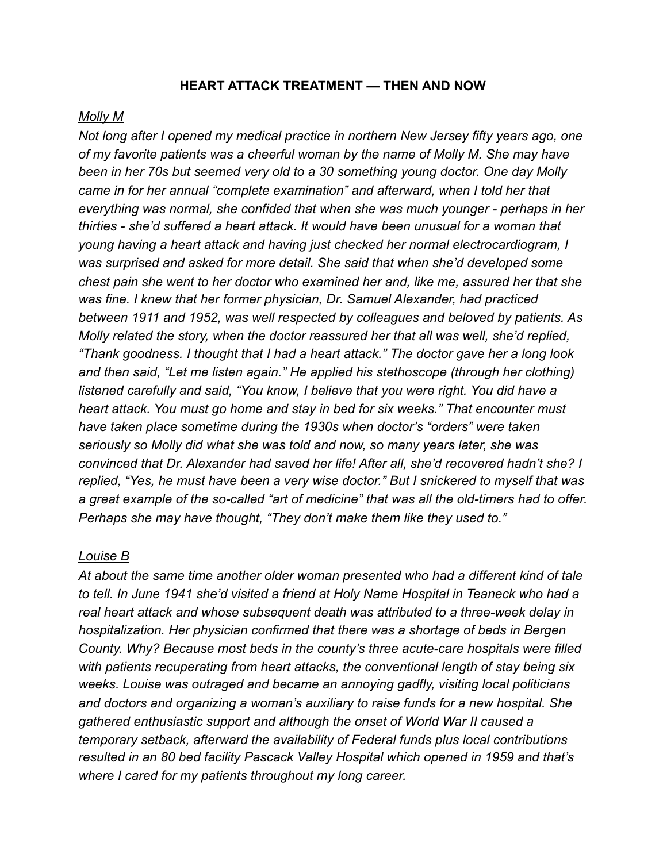#### **HEART ATTACK TREATMENT — THEN AND NOW**

#### *Molly M*

*Not long after I opened my medical practice in northern New Jersey fifty years ago, one of my favorite patients was a cheerful woman by the name of Molly M. She may have been in her 70s but seemed very old to a 30 something young doctor. One day Molly came in for her annual "complete examination" and afterward, when I told her that everything was normal, she confided that when she was much younger - perhaps in her thirties - she'd suffered a heart attack. It would have been unusual for a woman that young having a heart attack and having just checked her normal electrocardiogram, I was surprised and asked for more detail. She said that when she'd developed some chest pain she went to her doctor who examined her and, like me, assured her that she was fine. I knew that her former physician, Dr. Samuel Alexander, had practiced between 1911 and 1952, was well respected by colleagues and beloved by patients. As Molly related the story, when the doctor reassured her that all was well, she'd replied, "Thank goodness. I thought that I had a heart attack." The doctor gave her a long look and then said, "Let me listen again." He applied his stethoscope (through her clothing) listened carefully and said, "You know, I believe that you were right. You did have a heart attack. You must go home and stay in bed for six weeks." That encounter must have taken place sometime during the 1930s when doctor's "orders" were taken seriously so Molly did what she was told and now, so many years later, she was convinced that Dr. Alexander had saved her life! After all, she'd recovered hadn't she? I replied, "Yes, he must have been a very wise doctor." But I snickered to myself that was a great example of the so-called "art of medicine" that was all the old-timers had to offer. Perhaps she may have thought, "They don't make them like they used to."* 

#### *Louise B*

*At about the same time another older woman presented who had a different kind of tale to tell. In June 1941 she'd visited a friend at Holy Name Hospital in Teaneck who had a real heart attack and whose subsequent death was attributed to a three-week delay in hospitalization. Her physician confirmed that there was a shortage of beds in Bergen County. Why? Because most beds in the county's three acute-care hospitals were filled with patients recuperating from heart attacks, the conventional length of stay being six weeks. Louise was outraged and became an annoying gadfly, visiting local politicians and doctors and organizing a woman's auxiliary to raise funds for a new hospital. She gathered enthusiastic support and although the onset of World War II caused a temporary setback, afterward the availability of Federal funds plus local contributions resulted in an 80 bed facility Pascack Valley Hospital which opened in 1959 and that's where I cared for my patients throughout my long career.*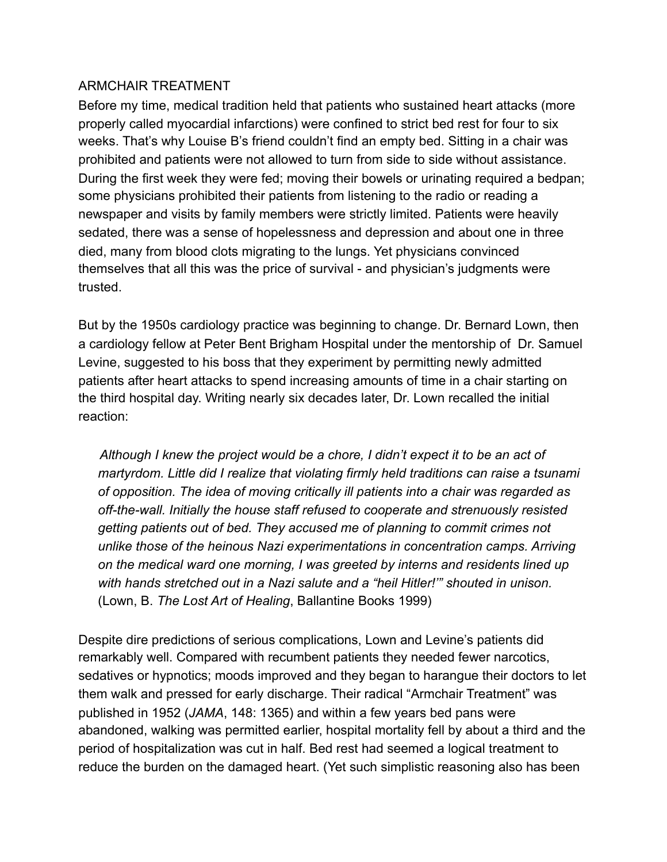#### ARMCHAIR TREATMENT

Before my time, medical tradition held that patients who sustained heart attacks (more properly called myocardial infarctions) were confined to strict bed rest for four to six weeks. That's why Louise B's friend couldn't find an empty bed. Sitting in a chair was prohibited and patients were not allowed to turn from side to side without assistance. During the first week they were fed; moving their bowels or urinating required a bedpan; some physicians prohibited their patients from listening to the radio or reading a newspaper and visits by family members were strictly limited. Patients were heavily sedated, there was a sense of hopelessness and depression and about one in three died, many from blood clots migrating to the lungs. Yet physicians convinced themselves that all this was the price of survival - and physician's judgments were trusted.

But by the 1950s cardiology practice was beginning to change. Dr. Bernard Lown, then a cardiology fellow at Peter Bent Brigham Hospital under the mentorship of Dr. Samuel Levine, suggested to his boss that they experiment by permitting newly admitted patients after heart attacks to spend increasing amounts of time in a chair starting on the third hospital day. Writing nearly six decades later, Dr. Lown recalled the initial reaction:

 *Although I knew the project would be a chore, I didn't expect it to be an act of martyrdom. Little did I realize that violating firmly held traditions can raise a tsunami of opposition. The idea of moving critically ill patients into a chair was regarded as off-the-wall. Initially the house staff refused to cooperate and strenuously resisted getting patients out of bed. They accused me of planning to commit crimes not unlike those of the heinous Nazi experimentations in concentration camps. Arriving on the medical ward one morning, I was greeted by interns and residents lined up with hands stretched out in a Nazi salute and a "heil Hitler!'" shouted in unison.*  (Lown, B. *The Lost Art of Healing*, Ballantine Books 1999)

Despite dire predictions of serious complications, Lown and Levine's patients did remarkably well. Compared with recumbent patients they needed fewer narcotics, sedatives or hypnotics; moods improved and they began to harangue their doctors to let them walk and pressed for early discharge. Their radical "Armchair Treatment" was published in 1952 (*JAMA*, 148: 1365) and within a few years bed pans were abandoned, walking was permitted earlier, hospital mortality fell by about a third and the period of hospitalization was cut in half. Bed rest had seemed a logical treatment to reduce the burden on the damaged heart. (Yet such simplistic reasoning also has been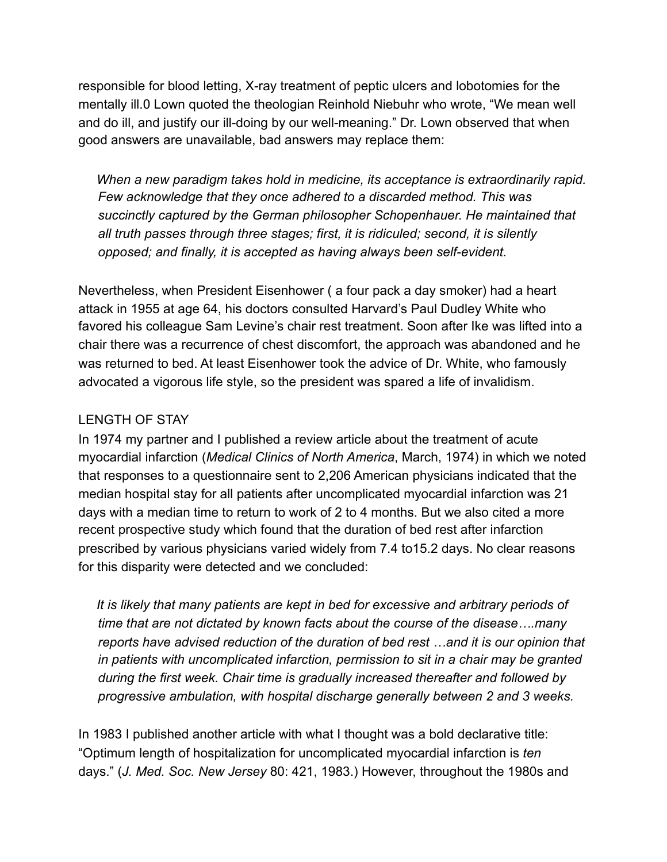responsible for blood letting, X-ray treatment of peptic ulcers and lobotomies for the mentally ill.0 Lown quoted the theologian Reinhold Niebuhr who wrote, "We mean well and do ill, and justify our ill-doing by our well-meaning." Dr. Lown observed that when good answers are unavailable, bad answers may replace them:

 *When a new paradigm takes hold in medicine, its acceptance is extraordinarily rapid. Few acknowledge that they once adhered to a discarded method. This was succinctly captured by the German philosopher Schopenhauer. He maintained that all truth passes through three stages; first, it is ridiculed; second, it is silently opposed; and finally, it is accepted as having always been self-evident.* 

Nevertheless, when President Eisenhower ( a four pack a day smoker) had a heart attack in 1955 at age 64, his doctors consulted Harvard's Paul Dudley White who favored his colleague Sam Levine's chair rest treatment. Soon after Ike was lifted into a chair there was a recurrence of chest discomfort, the approach was abandoned and he was returned to bed. At least Eisenhower took the advice of Dr. White, who famously advocated a vigorous life style, so the president was spared a life of invalidism.

# LENGTH OF STAY

In 1974 my partner and I published a review article about the treatment of acute myocardial infarction (*Medical Clinics of North America*, March, 1974) in which we noted that responses to a questionnaire sent to 2,206 American physicians indicated that the median hospital stay for all patients after uncomplicated myocardial infarction was 21 days with a median time to return to work of 2 to 4 months. But we also cited a more recent prospective study which found that the duration of bed rest after infarction prescribed by various physicians varied widely from 7.4 to15.2 days. No clear reasons for this disparity were detected and we concluded:

 *It is likely that many patients are kept in bed for excessive and arbitrary periods of time that are not dictated by known facts about the course of the disease….many reports have advised reduction of the duration of bed rest …and it is our opinion that in patients with uncomplicated infarction, permission to sit in a chair may be granted during the first week. Chair time is gradually increased thereafter and followed by progressive ambulation, with hospital discharge generally between 2 and 3 weeks.* 

In 1983 I published another article with what I thought was a bold declarative title: "Optimum length of hospitalization for uncomplicated myocardial infarction is *ten* days." (*J. Med. Soc. New Jersey* 80: 421, 1983.) However, throughout the 1980s and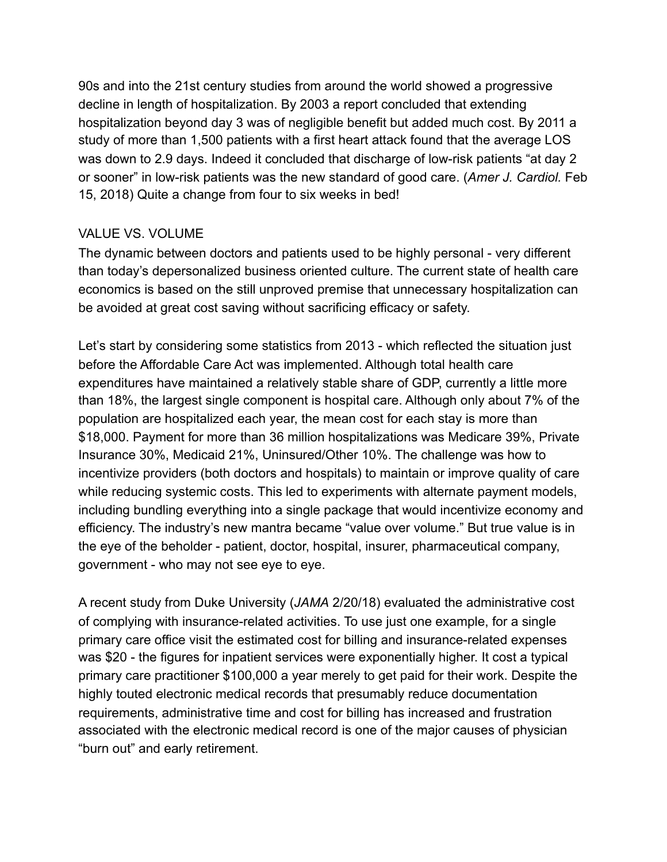90s and into the 21st century studies from around the world showed a progressive decline in length of hospitalization. By 2003 a report concluded that extending hospitalization beyond day 3 was of negligible benefit but added much cost. By 2011 a study of more than 1,500 patients with a first heart attack found that the average LOS was down to 2.9 days. Indeed it concluded that discharge of low-risk patients "at day 2 or sooner" in low-risk patients was the new standard of good care. (*Amer J. Cardiol.* Feb 15, 2018) Quite a change from four to six weeks in bed!

# VALUE VS. VOLUME

The dynamic between doctors and patients used to be highly personal - very different than today's depersonalized business oriented culture. The current state of health care economics is based on the still unproved premise that unnecessary hospitalization can be avoided at great cost saving without sacrificing efficacy or safety.

Let's start by considering some statistics from 2013 - which reflected the situation just before the Affordable Care Act was implemented. Although total health care expenditures have maintained a relatively stable share of GDP, currently a little more than 18%, the largest single component is hospital care. Although only about 7% of the population are hospitalized each year, the mean cost for each stay is more than \$18,000. Payment for more than 36 million hospitalizations was Medicare 39%, Private Insurance 30%, Medicaid 21%, Uninsured/Other 10%. The challenge was how to incentivize providers (both doctors and hospitals) to maintain or improve quality of care while reducing systemic costs. This led to experiments with alternate payment models, including bundling everything into a single package that would incentivize economy and efficiency. The industry's new mantra became "value over volume." But true value is in the eye of the beholder - patient, doctor, hospital, insurer, pharmaceutical company, government - who may not see eye to eye.

A recent study from Duke University (*JAMA* 2/20/18) evaluated the administrative cost of complying with insurance-related activities. To use just one example, for a single primary care office visit the estimated cost for billing and insurance-related expenses was \$20 - the figures for inpatient services were exponentially higher. It cost a typical primary care practitioner \$100,000 a year merely to get paid for their work. Despite the highly touted electronic medical records that presumably reduce documentation requirements, administrative time and cost for billing has increased and frustration associated with the electronic medical record is one of the major causes of physician "burn out" and early retirement.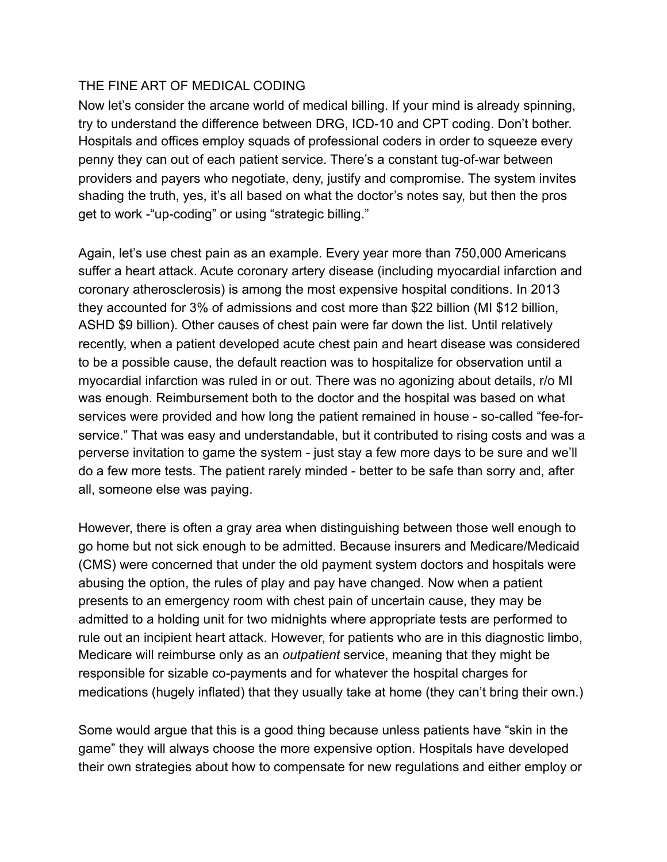### THE FINE ART OF MEDICAL CODING

Now let's consider the arcane world of medical billing. If your mind is already spinning, try to understand the difference between DRG, ICD-10 and CPT coding. Don't bother. Hospitals and offices employ squads of professional coders in order to squeeze every penny they can out of each patient service. There's a constant tug-of-war between providers and payers who negotiate, deny, justify and compromise. The system invites shading the truth, yes, it's all based on what the doctor's notes say, but then the pros get to work -"up-coding" or using "strategic billing."

Again, let's use chest pain as an example. Every year more than 750,000 Americans suffer a heart attack. Acute coronary artery disease (including myocardial infarction and coronary atherosclerosis) is among the most expensive hospital conditions. In 2013 they accounted for 3% of admissions and cost more than \$22 billion (MI \$12 billion, ASHD \$9 billion). Other causes of chest pain were far down the list. Until relatively recently, when a patient developed acute chest pain and heart disease was considered to be a possible cause, the default reaction was to hospitalize for observation until a myocardial infarction was ruled in or out. There was no agonizing about details, r/o MI was enough. Reimbursement both to the doctor and the hospital was based on what services were provided and how long the patient remained in house - so-called "fee-forservice." That was easy and understandable, but it contributed to rising costs and was a perverse invitation to game the system - just stay a few more days to be sure and we'll do a few more tests. The patient rarely minded - better to be safe than sorry and, after all, someone else was paying.

However, there is often a gray area when distinguishing between those well enough to go home but not sick enough to be admitted. Because insurers and Medicare/Medicaid (CMS) were concerned that under the old payment system doctors and hospitals were abusing the option, the rules of play and pay have changed. Now when a patient presents to an emergency room with chest pain of uncertain cause, they may be admitted to a holding unit for two midnights where appropriate tests are performed to rule out an incipient heart attack. However, for patients who are in this diagnostic limbo, Medicare will reimburse only as an *outpatient* service, meaning that they might be responsible for sizable co-payments and for whatever the hospital charges for medications (hugely inflated) that they usually take at home (they can't bring their own.)

Some would argue that this is a good thing because unless patients have "skin in the game" they will always choose the more expensive option. Hospitals have developed their own strategies about how to compensate for new regulations and either employ or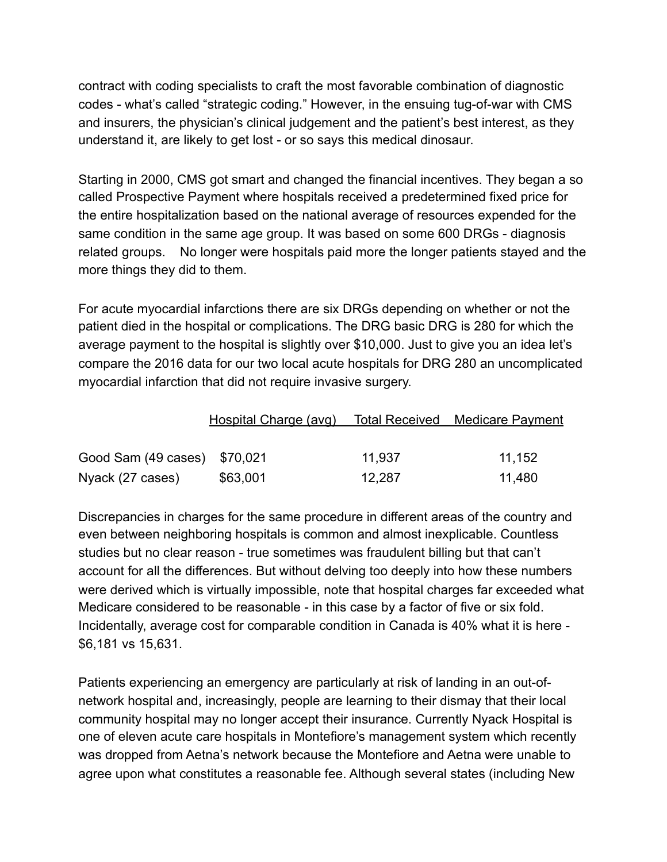contract with coding specialists to craft the most favorable combination of diagnostic codes - what's called "strategic coding." However, in the ensuing tug-of-war with CMS and insurers, the physician's clinical judgement and the patient's best interest, as they understand it, are likely to get lost - or so says this medical dinosaur.

Starting in 2000, CMS got smart and changed the financial incentives. They began a so called Prospective Payment where hospitals received a predetermined fixed price for the entire hospitalization based on the national average of resources expended for the same condition in the same age group. It was based on some 600 DRGs - diagnosis related groups. No longer were hospitals paid more the longer patients stayed and the more things they did to them.

For acute myocardial infarctions there are six DRGs depending on whether or not the patient died in the hospital or complications. The DRG basic DRG is 280 for which the average payment to the hospital is slightly over \$10,000. Just to give you an idea let's compare the 2016 data for our two local acute hospitals for DRG 280 an uncomplicated myocardial infarction that did not require invasive surgery.

|                              | Hospital Charge (avg) |        | Total Received Medicare Payment |
|------------------------------|-----------------------|--------|---------------------------------|
|                              |                       |        |                                 |
| Good Sam (49 cases) \$70,021 |                       | 11,937 | 11.152                          |
| Nyack (27 cases)             | \$63,001              | 12,287 | 11,480                          |

Discrepancies in charges for the same procedure in different areas of the country and even between neighboring hospitals is common and almost inexplicable. Countless studies but no clear reason - true sometimes was fraudulent billing but that can't account for all the differences. But without delving too deeply into how these numbers were derived which is virtually impossible, note that hospital charges far exceeded what Medicare considered to be reasonable - in this case by a factor of five or six fold. Incidentally, average cost for comparable condition in Canada is 40% what it is here - \$6,181 vs 15,631.

Patients experiencing an emergency are particularly at risk of landing in an out-ofnetwork hospital and, increasingly, people are learning to their dismay that their local community hospital may no longer accept their insurance. Currently Nyack Hospital is one of eleven acute care hospitals in Montefiore's management system which recently was dropped from Aetna's network because the Montefiore and Aetna were unable to agree upon what constitutes a reasonable fee. Although several states (including New